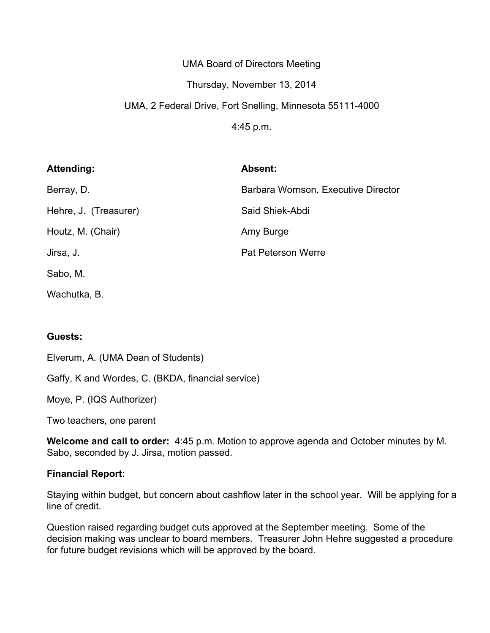UMA Board of Directors Meeting Thursday, November 13, 2014 UMA, 2 Federal Drive, Fort Snelling, Minnesota 55111-4000

4:45 p.m.

| Attending:            | Absent:                             |
|-----------------------|-------------------------------------|
| Berray, D.            | Barbara Wornson, Executive Director |
| Hehre, J. (Treasurer) | Said Shiek-Abdi                     |
| Houtz, M. (Chair)     | Amy Burge                           |
| Jirsa, J.             | <b>Pat Peterson Werre</b>           |
| Sabo, M.              |                                     |

Wachutka, B.

## **Guests:**

Elverum, A. (UMA Dean of Students)

Gaffy, K and Wordes, C. (BKDA, financial service)

Moye, P. (IQS Authorizer)

Two teachers, one parent

**Welcome and call to order:** 4:45 p.m. Motion to approve agenda and October minutes by M. Sabo, seconded by J. Jirsa, motion passed.

## **Financial Report:**

Staying within budget, but concern about cashflow later in the school year. Will be applying for a line of credit.

Question raised regarding budget cuts approved at the September meeting. Some of the decision making was unclear to board members. Treasurer John Hehre suggested a procedure for future budget revisions which will be approved by the board.